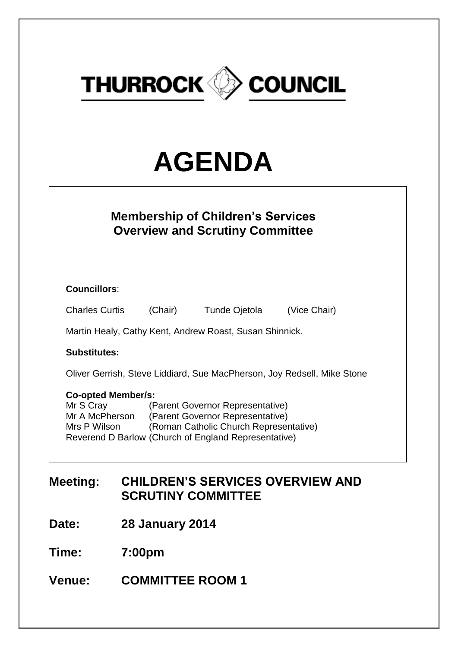

# **AGENDA**

| <b>Membership of Children's Services</b><br><b>Overview and Scrutiny Committee</b>                                                                                                                                                                 |         |               |              |  |  |  |  |
|----------------------------------------------------------------------------------------------------------------------------------------------------------------------------------------------------------------------------------------------------|---------|---------------|--------------|--|--|--|--|
| <b>Councillors:</b>                                                                                                                                                                                                                                |         |               |              |  |  |  |  |
| <b>Charles Curtis</b>                                                                                                                                                                                                                              | (Chair) | Tunde Ojetola | (Vice Chair) |  |  |  |  |
| Martin Healy, Cathy Kent, Andrew Roast, Susan Shinnick.                                                                                                                                                                                            |         |               |              |  |  |  |  |
| <b>Substitutes:</b>                                                                                                                                                                                                                                |         |               |              |  |  |  |  |
| Oliver Gerrish, Steve Liddiard, Sue MacPherson, Joy Redsell, Mike Stone                                                                                                                                                                            |         |               |              |  |  |  |  |
| <b>Co-opted Member/s:</b><br>Mr S Cray<br>(Parent Governor Representative)<br>(Parent Governor Representative)<br>Mr A McPherson<br>(Roman Catholic Church Representative)<br>Mrs P Wilson<br>Reverend D Barlow (Church of England Representative) |         |               |              |  |  |  |  |

# **Meeting: CHILDREN'S SERVICES OVERVIEW AND SCRUTINY COMMITTEE**

**Date: 28 January 2014**

**Time: 7:00pm**

**Venue: COMMITTEE ROOM 1**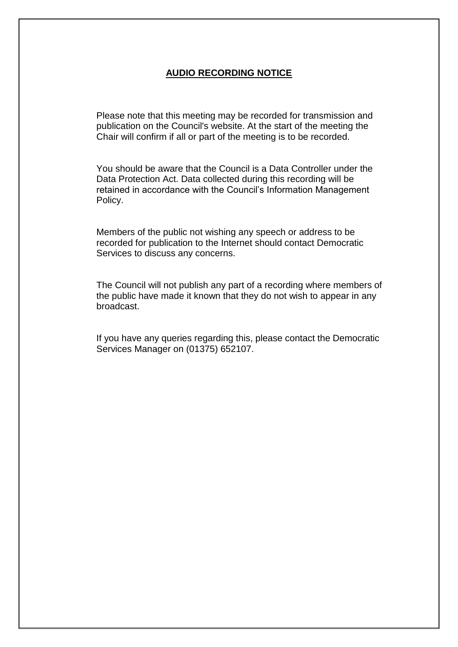## **AUDIO RECORDING NOTICE**

Please note that this meeting may be recorded for transmission and publication on the Council's website. At the start of the meeting the Chair will confirm if all or part of the meeting is to be recorded.

You should be aware that the Council is a Data Controller under the Data Protection Act. Data collected during this recording will be retained in accordance with the Council's Information Management Policy.

Members of the public not wishing any speech or address to be recorded for publication to the Internet should contact Democratic Services to discuss any concerns.

The Council will not publish any part of a recording where members of the public have made it known that they do not wish to appear in any broadcast.

If you have any queries regarding this, please contact the Democratic Services Manager on (01375) 652107.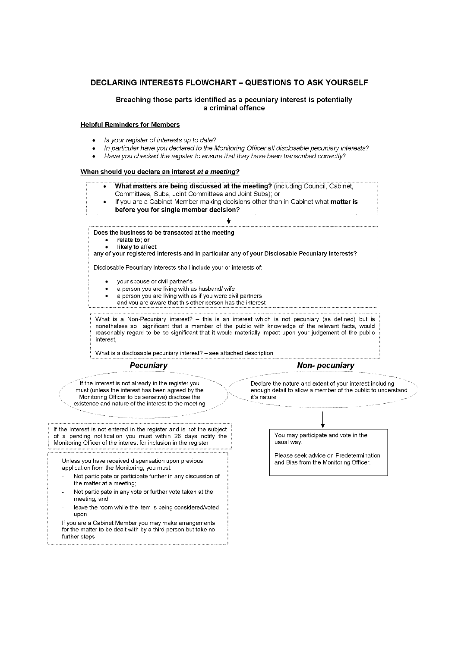#### **DECLARING INTERESTS FLOWCHART - QUESTIONS TO ASK YOURSELF**

#### Breaching those parts identified as a pecuniary interest is potentially a criminal offence

#### **Helpful Reminders for Members**

- Is your register of interests up to date?
- In particular have you declared to the Monitoring Officer all disclosable pecuniary interests?
- Have you checked the register to ensure that they have been transcribed correctly?

#### When should you declare an interest at a meeting?

- What matters are being discussed at the meeting? (including Council, Cabinet, Committees, Subs, Joint Committees and Joint Subs); or If you are a Cabinet Member making decisions other than in Cabinet what matter is before you for single member decision? Does the business to be transacted at the meeting relate to; or likely to affect any of your registered interests and in particular any of your Disclosable Pecuniary Interests? Disclosable Pecuniary Interests shall include your or interests of: your spouse or civil partner's a person you are living with as husband/ wife a person you are living with as if you were civil partners and vou are aware that this other person has the interest What is a Non-Pecuniary interest? - this is an interest which is not pecuniary (as defined) but is nonetheless so significant that a member of the public with knowledge of the relevant facts, would reasonably regard to be so significant that it would materially impact upon your judgement of the public interest What is a disclosable pecuniary interest? - see attached description **Pecuniary Non-pecuniary** If the interest is not already in the register you Declare the nature and extent of your interest including must (unless the interest has been agreed by the enough detail to allow a member of the public to understand Monitoring Officer to be sensitive) disclose the it's nature existence and nature of the interest to the meeting If the Interest is not entered in the register and is not the subject of a pending notification you must within 28 days notify the<br>Monitoring Officer of the interest for inclusion in the register You may participate and vote in the usual way. Please seek advice on Predetermination Unless you have received dispensation upon previous and Bias from the Monitoring Officer. application from the Monitoring, you must: Not participate or participate further in any discussion of the matter at a meeting; Not participate in any vote or further vote taken at the meeting; and
	- leave the room while the item is being considered/voted upon

If you are a Cabinet Member you may make arrangements for the matter to be dealt with by a third person but take no further steps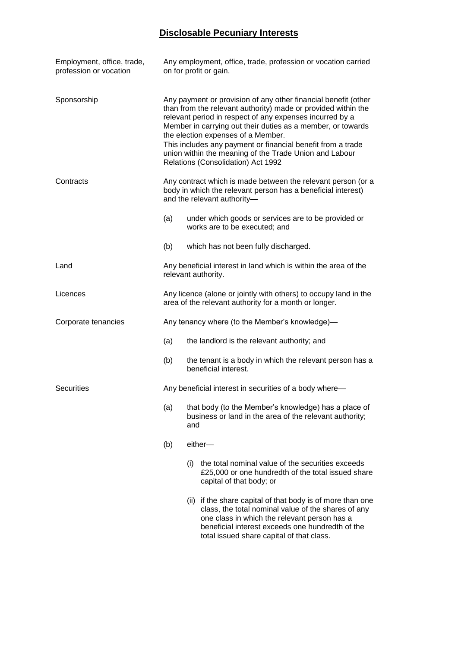## **Disclosable Pecuniary Interests**

| Employment, office, trade,<br>profession or vocation | Any employment, office, trade, profession or vocation carried<br>on for profit or gain.                                                                                                                                                                                                                                                                                                                                                                         |                                                                                                                        |                                                                                                                                                                                                                                                                    |  |
|------------------------------------------------------|-----------------------------------------------------------------------------------------------------------------------------------------------------------------------------------------------------------------------------------------------------------------------------------------------------------------------------------------------------------------------------------------------------------------------------------------------------------------|------------------------------------------------------------------------------------------------------------------------|--------------------------------------------------------------------------------------------------------------------------------------------------------------------------------------------------------------------------------------------------------------------|--|
| Sponsorship                                          | Any payment or provision of any other financial benefit (other<br>than from the relevant authority) made or provided within the<br>relevant period in respect of any expenses incurred by a<br>Member in carrying out their duties as a member, or towards<br>the election expenses of a Member.<br>This includes any payment or financial benefit from a trade<br>union within the meaning of the Trade Union and Labour<br>Relations (Consolidation) Act 1992 |                                                                                                                        |                                                                                                                                                                                                                                                                    |  |
| Contracts                                            | Any contract which is made between the relevant person (or a<br>body in which the relevant person has a beneficial interest)<br>and the relevant authority-                                                                                                                                                                                                                                                                                                     |                                                                                                                        |                                                                                                                                                                                                                                                                    |  |
|                                                      | (a)<br>under which goods or services are to be provided or<br>works are to be executed; and                                                                                                                                                                                                                                                                                                                                                                     |                                                                                                                        |                                                                                                                                                                                                                                                                    |  |
|                                                      | (b)                                                                                                                                                                                                                                                                                                                                                                                                                                                             |                                                                                                                        | which has not been fully discharged.                                                                                                                                                                                                                               |  |
| Land                                                 | Any beneficial interest in land which is within the area of the<br>relevant authority.                                                                                                                                                                                                                                                                                                                                                                          |                                                                                                                        |                                                                                                                                                                                                                                                                    |  |
| Licences                                             | Any licence (alone or jointly with others) to occupy land in the<br>area of the relevant authority for a month or longer.                                                                                                                                                                                                                                                                                                                                       |                                                                                                                        |                                                                                                                                                                                                                                                                    |  |
| Corporate tenancies                                  | Any tenancy where (to the Member's knowledge)—                                                                                                                                                                                                                                                                                                                                                                                                                  |                                                                                                                        |                                                                                                                                                                                                                                                                    |  |
|                                                      | (a)<br>the landlord is the relevant authority; and                                                                                                                                                                                                                                                                                                                                                                                                              |                                                                                                                        |                                                                                                                                                                                                                                                                    |  |
|                                                      | (b)<br>the tenant is a body in which the relevant person has a<br>beneficial interest.                                                                                                                                                                                                                                                                                                                                                                          |                                                                                                                        |                                                                                                                                                                                                                                                                    |  |
| <b>Securities</b>                                    | Any beneficial interest in securities of a body where-                                                                                                                                                                                                                                                                                                                                                                                                          |                                                                                                                        |                                                                                                                                                                                                                                                                    |  |
|                                                      | (a)                                                                                                                                                                                                                                                                                                                                                                                                                                                             | that body (to the Member's knowledge) has a place of<br>business or land in the area of the relevant authority;<br>and |                                                                                                                                                                                                                                                                    |  |
|                                                      | (b)                                                                                                                                                                                                                                                                                                                                                                                                                                                             |                                                                                                                        | either-                                                                                                                                                                                                                                                            |  |
|                                                      |                                                                                                                                                                                                                                                                                                                                                                                                                                                                 | (i)                                                                                                                    | the total nominal value of the securities exceeds<br>£25,000 or one hundredth of the total issued share<br>capital of that body; or                                                                                                                                |  |
|                                                      |                                                                                                                                                                                                                                                                                                                                                                                                                                                                 |                                                                                                                        | (ii) if the share capital of that body is of more than one<br>class, the total nominal value of the shares of any<br>one class in which the relevant person has a<br>beneficial interest exceeds one hundredth of the<br>total issued share capital of that class. |  |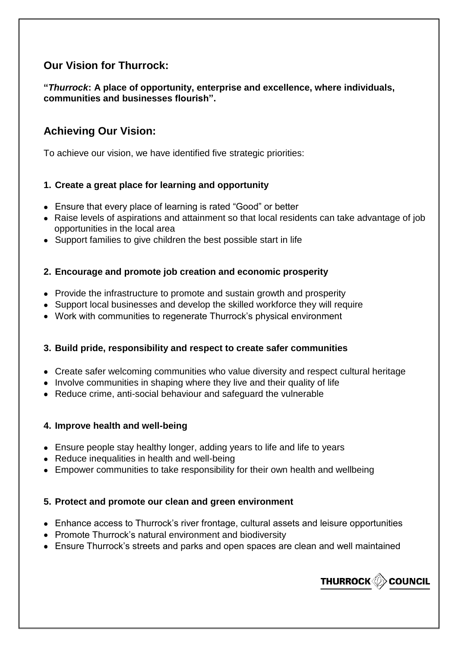# **Our Vision for Thurrock:**

**"***Thurrock***: A place of opportunity, enterprise and excellence, where individuals, communities and businesses flourish".**

# **Achieving Our Vision:**

To achieve our vision, we have identified five strategic priorities:

## **1. Create a great place for learning and opportunity**

- Ensure that every place of learning is rated "Good" or better
- Raise levels of aspirations and attainment so that local residents can take advantage of job opportunities in the local area
- Support families to give children the best possible start in life

## **2. Encourage and promote job creation and economic prosperity**

- Provide the infrastructure to promote and sustain growth and prosperity
- Support local businesses and develop the skilled workforce they will require
- Work with communities to regenerate Thurrock's physical environment

## **3. Build pride, responsibility and respect to create safer communities**

- Create safer welcoming communities who value diversity and respect cultural heritage
- Involve communities in shaping where they live and their quality of life
- Reduce crime, anti-social behaviour and safeguard the vulnerable

## **4. Improve health and well-being**

- Ensure people stay healthy longer, adding years to life and life to years
- Reduce inequalities in health and well-being
- Empower communities to take responsibility for their own health and wellbeing

## **5. Protect and promote our clean and green environment**

- Enhance access to Thurrock's river frontage, cultural assets and leisure opportunities
- Promote Thurrock's natural environment and biodiversity
- Ensure Thurrock's streets and parks and open spaces are clean and well maintained

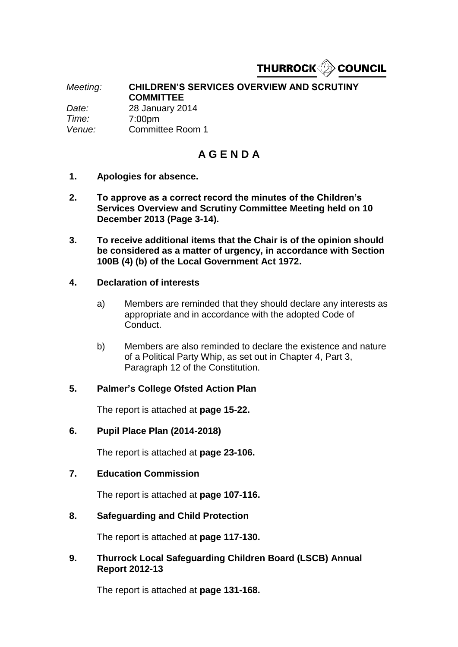

*Meeting:* **CHILDREN'S SERVICES OVERVIEW AND SCRUTINY COMMITTEE** *Date:* 28 January 2014 *Time:* 7:00pm *Venue:* Committee Room 1

# **A G E N D A**

- **1. Apologies for absence.**
- **2. To approve as a correct record the minutes of the Children's Services Overview and Scrutiny Committee Meeting held on 10 December 2013 (Page 3-14).**
- **3. To receive additional items that the Chair is of the opinion should be considered as a matter of urgency, in accordance with Section 100B (4) (b) of the Local Government Act 1972.**

## **4. Declaration of interests**

- a) Members are reminded that they should declare any interests as appropriate and in accordance with the adopted Code of Conduct.
- b) Members are also reminded to declare the existence and nature of a Political Party Whip, as set out in Chapter 4, Part 3, Paragraph 12 of the Constitution.

## **5. Palmer's College Ofsted Action Plan**

The report is attached at **page 15-22.**

### **6. Pupil Place Plan (2014-2018)**

The report is attached at **page 23-106.**

### **7. Education Commission**

The report is attached at **page 107-116.**

## **8. Safeguarding and Child Protection**

The report is attached at **page 117-130.** 

## **9. Thurrock Local Safeguarding Children Board (LSCB) Annual Report 2012-13**

The report is attached at **page 131-168.**